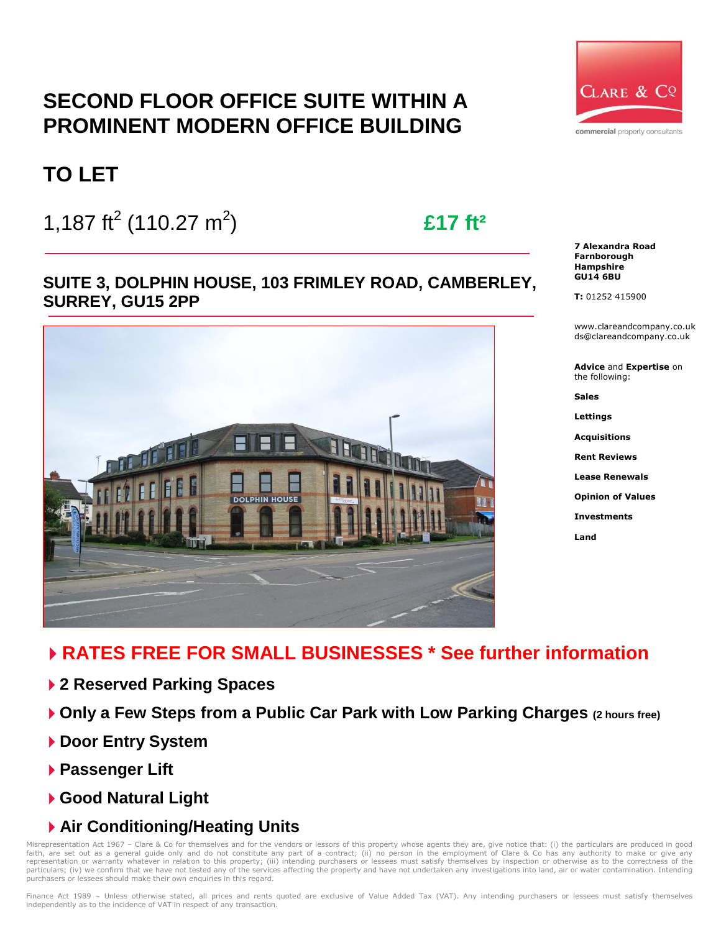# **SECOND FLOOR OFFICE SUITE WITHIN A PROMINENT MODERN OFFICE BUILDING**



1,187 ft<sup>2</sup> (110.27 m<sup>2</sup>

# ) **£17 ft²**

**SUITE 3, DOLPHIN HOUSE, 103 FRIMLEY ROAD, CAMBERLEY, SURREY, GU15 2PP**





**7 Alexandra Road Farnborough Hampshire GU14 6BU**

**T:** 01252 415900

www.clareandcompany.co.uk ds@clareandcompany.co.uk

**Advice** and **Expertise** on the following:

**Sales**

**Lettings**

**Acquisitions**

**Rent Reviews**

**Lease Renewals**

**Opinion of Values**

**Investments**

**Land**

# **RATES FREE FOR SMALL BUSINESSES \* See further information**

- **2 Reserved Parking Spaces**
- **Only a Few Steps from a Public Car Park with Low Parking Charges (2 hours free)**
- **Door Entry System**
- **Passenger Lift**
- **Good Natural Light**
- **Air Conditioning/Heating Units**

Misrepresentation Act 1967 – Clare & Co for themselves and for the vendors or lessors of this property whose agents they are, give notice that: (i) the particulars are produced in good faith, are set out as a general guide only and do not constitute any part of a contract; (ii) no person in the employment of Clare & Co has any authority to make or give any<br>representation or warranty whatever in relation particulars; (iv) we confirm that we have not tested any of the services affecting the property and have not undertaken any investigations into land, air or water contamination. Intending purchasers or lessees should make their own enquiries in this regard.

Finance Act 1989 – Unless otherwise stated, all prices and rents quoted are exclusive of Value Added Tax (VAT). Any intending purchasers or lessees must satisfy themselves independently as to the incidence of VAT in respect of any transaction.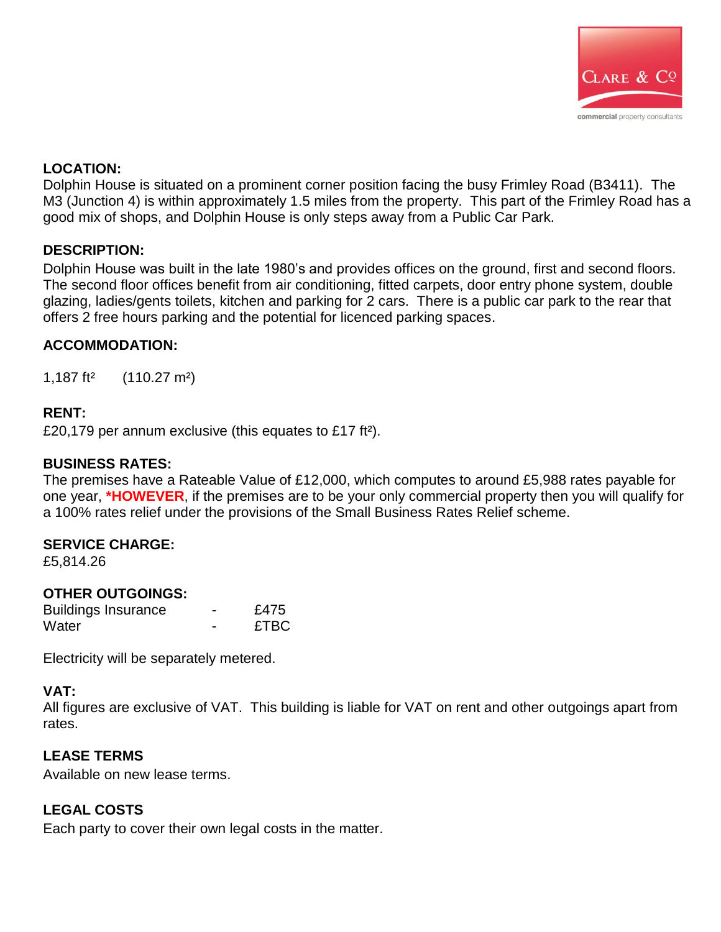

### **LOCATION:**

Dolphin House is situated on a prominent corner position facing the busy Frimley Road (B3411). The M3 (Junction 4) is within approximately 1.5 miles from the property. This part of the Frimley Road has a good mix of shops, and Dolphin House is only steps away from a Public Car Park.

#### **DESCRIPTION:**

Dolphin House was built in the late 1980's and provides offices on the ground, first and second floors. The second floor offices benefit from air conditioning, fitted carpets, door entry phone system, double glazing, ladies/gents toilets, kitchen and parking for 2 cars. There is a public car park to the rear that offers 2 free hours parking and the potential for licenced parking spaces.

# **ACCOMMODATION:**

1,187 ft² (110.27 m²)

# **RENT:**

£20,179 per annum exclusive (this equates to £17 ft²).

#### **BUSINESS RATES:**

The premises have a Rateable Value of £12,000, which computes to around £5,988 rates payable for one year, **\*HOWEVER**, if the premises are to be your only commercial property then you will qualify for a 100% rates relief under the provisions of the Small Business Rates Relief scheme.

#### **SERVICE CHARGE:**

£5,814.26

# **OTHER OUTGOINGS:**

| <b>Buildings Insurance</b> | £475        |
|----------------------------|-------------|
| Water                      | <b>£TBC</b> |

Electricity will be separately metered.

# **VAT:**

All figures are exclusive of VAT. This building is liable for VAT on rent and other outgoings apart from rates.

#### **LEASE TERMS**

Available on new lease terms.

# **LEGAL COSTS**

Each party to cover their own legal costs in the matter.